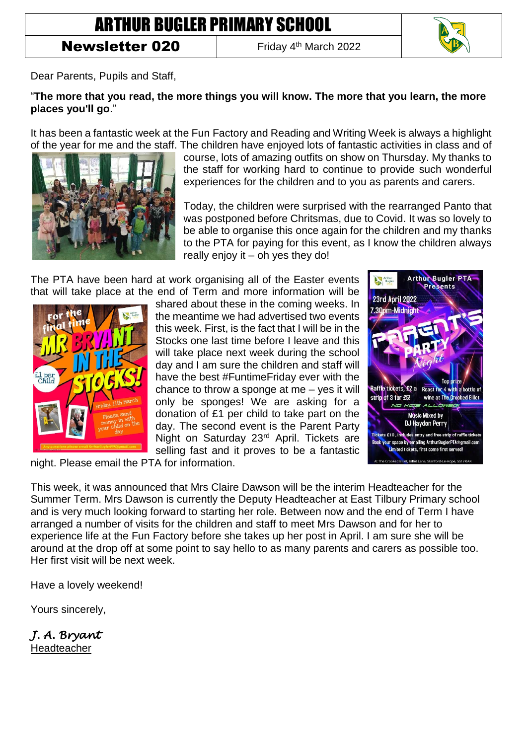## ARTHUR BUGLER PRIMARY SCHOOL

## **Newsletter 020**

Friday 4<sup>th</sup> March 2022



Dear Parents, Pupils and Staff,

## "**The more that you read, the more things you will know. The more that you learn, the more places you'll go**."

It has been a fantastic week at the Fun Factory and Reading and Writing Week is always a highlight of the year for me and the staff. The children have enjoyed lots of fantastic activities in class and of



course, lots of amazing outfits on show on Thursday. My thanks to the staff for working hard to continue to provide such wonderful experiences for the children and to you as parents and carers.

Today, the children were surprised with the rearranged Panto that was postponed before Chritsmas, due to Covid. It was so lovely to be able to organise this once again for the children and my thanks to the PTA for paying for this event, as I know the children always really enjoy it  $-$  oh yes they do!

The PTA have been hard at work organising all of the Easter events that will take place at the end of Term and more information will be



shared about these in the coming weeks. In the meantime we had advertised two events this week. First, is the fact that I will be in the Stocks one last time before I leave and this will take place next week during the school day and I am sure the children and staff will have the best #FuntimeFriday ever with the chance to throw a sponge at me – yes it will only be sponges! We are asking for a donation of £1 per child to take part on the day. The second event is the Parent Party Night on Saturday 23<sup>rd</sup> April. Tickets are selling fast and it proves to be a fantastic



night. Please email the PTA for information.

This week, it was announced that Mrs Claire Dawson will be the interim Headteacher for the Summer Term. Mrs Dawson is currently the Deputy Headteacher at East Tilbury Primary school and is very much looking forward to starting her role. Between now and the end of Term I have arranged a number of visits for the children and staff to meet Mrs Dawson and for her to experience life at the Fun Factory before she takes up her post in April. I am sure she will be around at the drop off at some point to say hello to as many parents and carers as possible too. Her first visit will be next week.

Have a lovely weekend!

Yours sincerely,

*J. A. Bryant*  Headteacher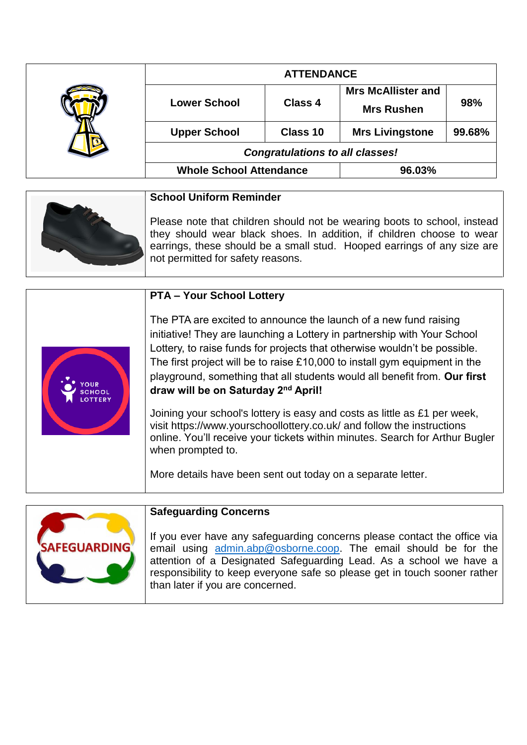|  | <b>ATTENDANCE</b>                      |                |                           |        |
|--|----------------------------------------|----------------|---------------------------|--------|
|  | <b>Lower School</b>                    | <b>Class 4</b> | <b>Mrs McAllister and</b> | 98%    |
|  |                                        |                | <b>Mrs Rushen</b>         |        |
|  | <b>Upper School</b>                    | Class 10       | <b>Mrs Livingstone</b>    | 99.68% |
|  | <b>Congratulations to all classes!</b> |                |                           |        |
|  | <b>Whole School Attendance</b>         |                | 96.03%                    |        |

| <b>School Uniform Reminder</b>                                                                                                                                                                                                                                    |
|-------------------------------------------------------------------------------------------------------------------------------------------------------------------------------------------------------------------------------------------------------------------|
| Please note that children should not be wearing boots to school, instead<br>they should wear black shoes. In addition, if children choose to wear<br>earrings, these should be a small stud. Hooped earrings of any size are<br>not permitted for safety reasons. |

|  | <b>PTA - Your School Lottery</b>                                                                                                                                                                                                                                                                                                                                                                                            |
|--|-----------------------------------------------------------------------------------------------------------------------------------------------------------------------------------------------------------------------------------------------------------------------------------------------------------------------------------------------------------------------------------------------------------------------------|
|  | The PTA are excited to announce the launch of a new fund raising<br>initiative! They are launching a Lottery in partnership with Your School<br>Lottery, to raise funds for projects that otherwise wouldn't be possible.<br>The first project will be to raise £10,000 to install gym equipment in the<br>playground, something that all students would all benefit from. Our first<br>draw will be on Saturday 2nd April! |
|  | Joining your school's lottery is easy and costs as little as £1 per week,<br>visit https://www.yourschoollottery.co.uk/ and follow the instructions<br>online. You'll receive your tickets within minutes. Search for Arthur Bugler<br>when prompted to.                                                                                                                                                                    |
|  | More details have been sent out today on a separate letter.                                                                                                                                                                                                                                                                                                                                                                 |



## **Safeguarding Concerns**

If you ever have any safeguarding concerns please contact the office via email using [admin.abp@osborne.coop.](mailto:admin.abp@osborne.coop) The email should be for the attention of a Designated Safeguarding Lead. As a school we have a responsibility to keep everyone safe so please get in touch sooner rather than later if you are concerned.